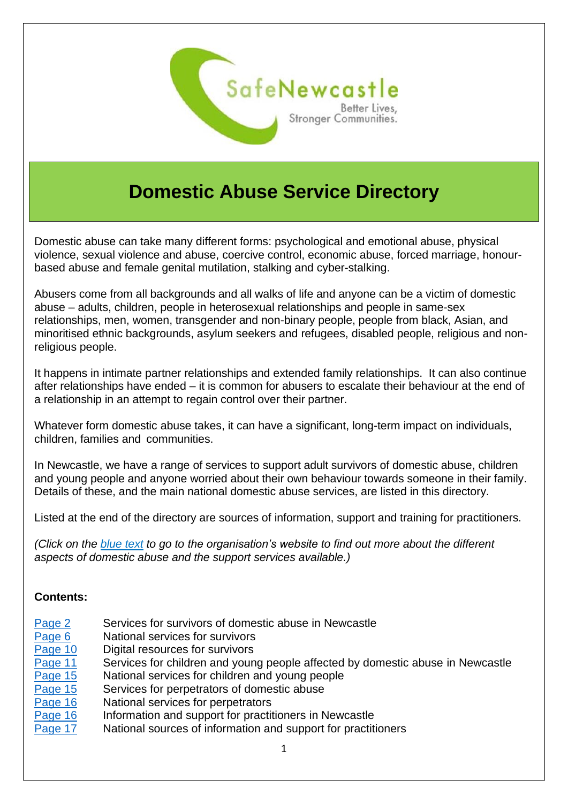

# **Domestic Abuse Service Directory**

Domestic abuse can take many different forms: psychological and emotional abuse, physical violence, sexual violence and abuse, coercive control, economic abuse, forced marriage, honourbased abuse and female genital mutilation, stalking and cyber-stalking.

Abusers come from all backgrounds and all walks of life and anyone can be a victim of domestic abuse – adults, children, people in heterosexual relationships and people in same-sex relationships, men, women, transgender and non-binary people, people from black, Asian, and minoritised ethnic backgrounds, asylum seekers and refugees, disabled people, religious and nonreligious people.

It happens in intimate partner relationships and extended family relationships. It can also continue after relationships have ended – it is common for abusers to escalate their behaviour at the end of a relationship in an attempt to regain control over their partner.

Whatever form domestic abuse takes, it can have a significant, long-term impact on individuals, children, families and communities.

In Newcastle, we have a range of services to support adult survivors of domestic abuse, children and young people and anyone worried about their own behaviour towards someone in their family. Details of these, and the main national domestic abuse services, are listed in this directory.

Listed at the end of the directory are sources of information, support and training for practitioners.

*(Click on the blue text to go to the organisation's website to find out more about the different aspects of domestic abuse and the support services available.)*

#### **Contents:**

- [Page 2](#page-1-0) Services for survivors of domestic abuse in Newcastle
- [Page 6](#page-5-0) National services for survivors
- [Page 10](#page-9-0) Digital resources for survivors
- [Page 11](#page-10-0) Services for children and young people affected by domestic abuse in Newcastle
- [Page 15](#page-14-0) National services for children and young people
- [Page 15](#page-14-1) Services for perpetrators of domestic abuse
- [Page 16](#page-15-0) National services for perpetrators
- [Page 16](#page-15-1) Information and support for practitioners in Newcastle
- [Page 17](#page-16-0) National sources of information and support for practitioners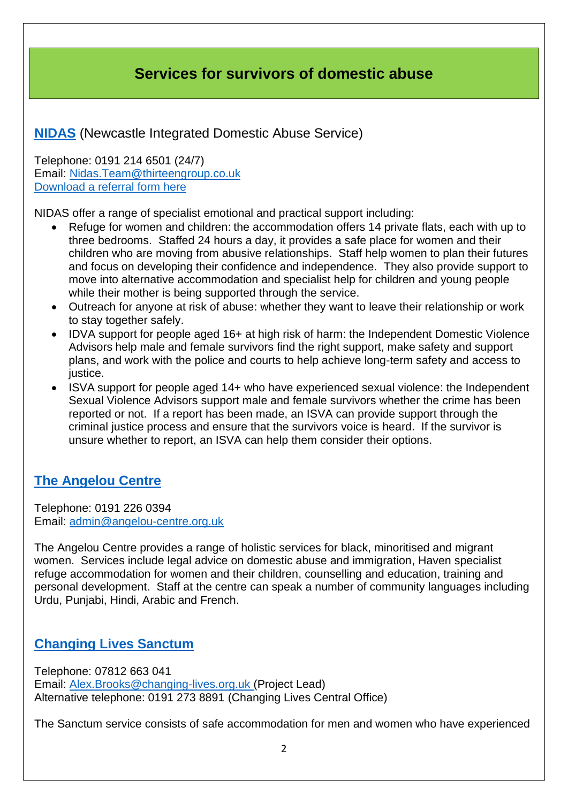### **Services for survivors of domestic abuse**

#### <span id="page-1-0"></span>**[NIDAS](https://www.newcastleidas.co.uk/)** (Newcastle Integrated Domestic Abuse Service)

Telephone: 0191 214 6501 (24/7) Email: [Nidas.Team@thirteengroup.co.uk](mailto:Nidas.Team@thirteengroup.co.uk) [Download a referral form here](https://www.newcastleidas.co.uk/page/access-to-services)

NIDAS offer a range of specialist emotional and practical support including:

- Refuge for women and children: the accommodation offers 14 private flats, each with up to three bedrooms. Staffed 24 hours a day, it provides a safe place for women and their children who are moving from abusive relationships. Staff help women to plan their futures and focus on developing their confidence and independence. They also provide support to move into alternative accommodation and specialist help for children and young people while their mother is being supported through the service.
- Outreach for anyone at risk of abuse: whether they want to leave their relationship or work to stay together safely.
- IDVA support for people aged 16+ at high risk of harm: the Independent Domestic Violence Advisors help male and female survivors find the right support, make safety and support plans, and work with the police and courts to help achieve long-term safety and access to justice.
- ISVA support for people aged 14+ who have experienced sexual violence: the Independent Sexual Violence Advisors support male and female survivors whether the crime has been reported or not. If a report has been made, an ISVA can provide support through the criminal justice process and ensure that the survivors voice is heard. If the survivor is unsure whether to report, an ISVA can help them consider their options.

#### **[The Angelou Centre](http://angelou-centre.org.uk/)**

Telephone: 0191 226 0394 Email: [admin@angelou-centre.org.uk](mailto:admin@angelou-centre.org.uk)

The Angelou Centre provides a range of holistic services for black, minoritised and migrant women. Services include legal advice on domestic abuse and immigration, Haven specialist refuge accommodation for women and their children, counselling and education, training and personal development. Staff at the centre can speak a number of community languages including Urdu, Punjabi, Hindi, Arabic and French.

#### **[Changing Lives Sanctum](https://www.changing-lives.org.uk/)**

Telephone: 07812 663 041 Email: [Alex.Brooks@changing-lives.org.uk \(](mailto:Alex.Brooks@changing-lives.org.uk)Project Lead) Alternative telephone: 0191 273 8891 (Changing Lives Central Office)

The Sanctum service consists of safe accommodation for men and women who have experienced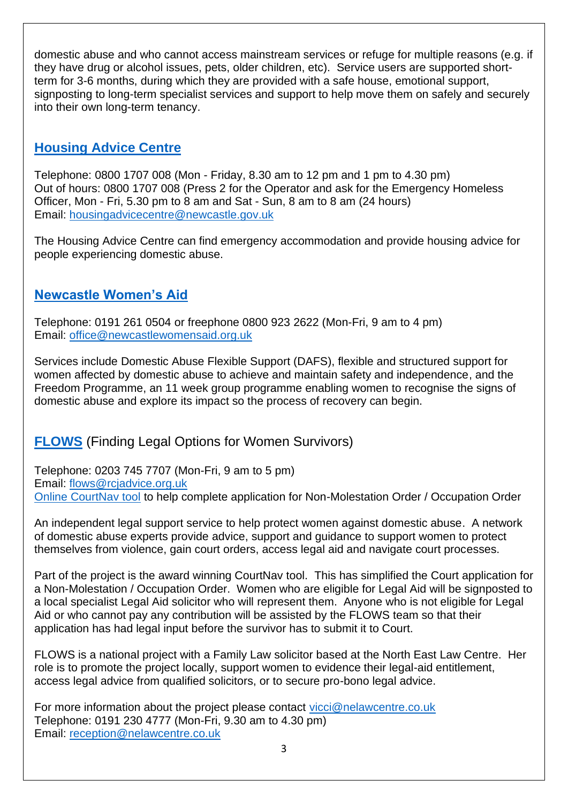domestic abuse and who cannot access mainstream services or refuge for multiple reasons (e.g. if they have drug or alcohol issues, pets, older children, etc). Service users are supported shortterm for 3-6 months, during which they are provided with a safe house, emotional support, signposting to long-term specialist services and support to help move them on safely and securely into their own long-term tenancy.

#### **[Housing Advice Centre](https://www.newcastle.gov.uk/services/housing/housing-advice-and-homelessness/what-do-if-you-need-housing-advice-or-are-2)**

Telephone: 0800 1707 008 (Mon - Friday, 8.30 am to 12 pm and 1 pm to 4.30 pm) Out of hours: 0800 1707 008 (Press 2 for the Operator and ask for the Emergency Homeless Officer, Mon - Fri, 5.30 pm to 8 am and Sat - Sun, 8 am to 8 am (24 hours) Email: [housingadvicecentre@newcastle.gov.uk](mailto:housingadvicecentre@newcastle.gov.uk)

The Housing Advice Centre can find emergency accommodation and provide housing advice for people experiencing domestic abuse.

### **[Newcastle Women's Aid](https://www.newcastlewomensaid.org.uk/)**

Telephone: 0191 261 0504 or freephone 0800 923 2622 (Mon-Fri, 9 am to 4 pm) Email: [office@newcastlewomensaid.org.uk](mailto:office@newcastlewomensaid.org.uk)

Services include Domestic Abuse Flexible Support (DAFS), flexible and structured support for women affected by domestic abuse to achieve and maintain safety and independence, and the Freedom Programme, an 11 week group programme enabling women to recognise the signs of domestic abuse and explore its impact so the process of recovery can begin.

### **[FLOWS](https://www.flows.org.uk/)** (Finding Legal Options for Women Survivors)

Telephone: 0203 745 7707 (Mon-Fri, 9 am to 5 pm) Email: [flows@rcjadvice.org.uk](mailto:flows@rcjadvice.org.uk) [Online CourtNav tool](https://flows.courtnav.org.uk/register) to help complete application for Non-Molestation Order / Occupation Order

An independent legal support service to help protect women against domestic abuse. A network of domestic abuse experts provide advice, support and guidance to support women to protect themselves from violence, gain court orders, access legal aid and navigate court processes.

Part of the project is the award winning CourtNav tool. This has simplified the Court application for a Non-Molestation / Occupation Order. Women who are eligible for Legal Aid will be signposted to a local specialist Legal Aid solicitor who will represent them. Anyone who is not eligible for Legal Aid or who cannot pay any contribution will be assisted by the FLOWS team so that their application has had legal input before the survivor has to submit it to Court.

FLOWS is a national project with a Family Law solicitor based at the North East Law Centre. Her role is to promote the project locally, support women to evidence their legal-aid entitlement, access legal advice from qualified solicitors, or to secure pro-bono legal advice.

For more information about the project please contact [vicci@nelawcentre.co.uk](mailto:vicci@nelawcentre.co.uk) Telephone: 0191 230 4777 (Mon-Fri, 9.30 am to 4.30 pm) Email: [reception@nelawcentre.co.uk](mailto:reception@nelawcentre.co.uk)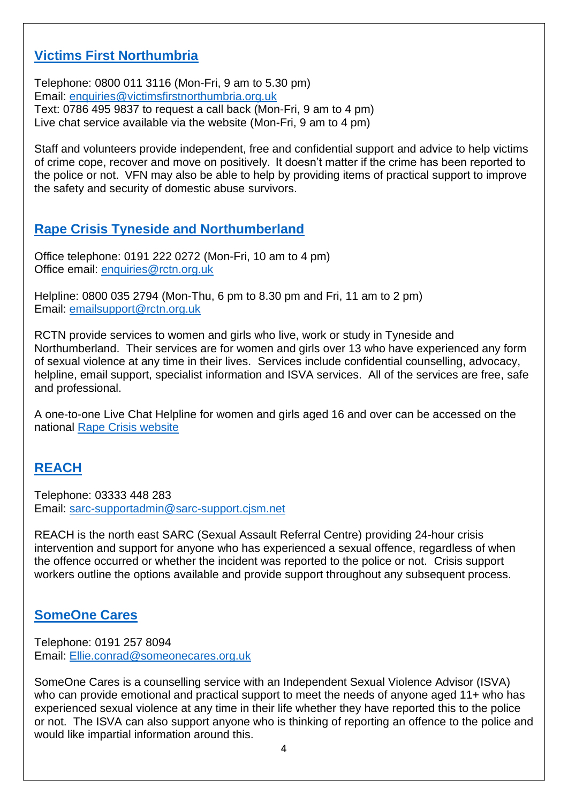#### **[Victims First Northumbria](https://victimsfirstnorthumbria.org.uk/)**

Telephone: 0800 011 3116 (Mon-Fri, 9 am to 5.30 pm) Email: [enquiries@victimsfirstnorthumbria.org.uk](mailto:enquiries@victimsfirstnorthumbria.org.uk) Text: 0786 495 9837 to request a call back (Mon-Fri, 9 am to 4 pm) Live chat service available via the website (Mon-Fri, 9 am to 4 pm)

Staff and volunteers provide independent, free and confidential support and advice to help victims of crime cope, recover and move on positively. It doesn't matter if the crime has been reported to the police or not. VFN may also be able to help by providing items of practical support to improve the safety and security of domestic abuse survivors.

### **[Rape Crisis Tyneside and Northumberland](https://rctn.org.uk/)**

Office telephone: 0191 222 0272 (Mon-Fri, 10 am to 4 pm) Office email: [enquiries@rctn.org.uk](mailto:enquiries@rctn.org.uk)

Helpline: 0800 035 2794 (Mon-Thu, 6 pm to 8.30 pm and Fri, 11 am to 2 pm) Email: [emailsupport@rctn.org.uk](mailto:emailsupport@rctn.org.uk)

RCTN provide services to women and girls who live, work or study in Tyneside and Northumberland. Their services are for women and girls over 13 who have experienced any form of sexual violence at any time in their lives. Services include confidential counselling, advocacy, helpline, email support, specialist information and ISVA services. All of the services are free, safe and professional.

A one-to-one Live Chat Helpline for women and girls aged 16 and over can be accessed on the national [Rape Crisis website](https://rapecrisis.org.uk/get-help/live-chat-helpline/about-the-live-chat-helpline/)

### **[REACH](http://www.reachsarc.org.uk/)**

Telephone: 03333 448 283 Email: [sarc-supportadmin@sarc-support.cjsm.net](mailto:sarc-supportadmin@sarc-support.cjsm.net)

REACH is the north east SARC (Sexual Assault Referral Centre) providing 24-hour crisis intervention and support for anyone who has experienced a sexual offence, regardless of when the offence occurred or whether the incident was reported to the police or not. Crisis support workers outline the options available and provide support throughout any subsequent process.

### **[SomeOne Cares](https://someonecares.org.uk/)**

Telephone: 0191 257 8094 Email: [Ellie.conrad@someonecares.org.uk](mailto:Ellie.conrad@someonecares.org.uk)

SomeOne Cares is a counselling service with an Independent Sexual Violence Advisor (ISVA) who can provide emotional and practical support to meet the needs of anyone aged 11+ who has experienced sexual violence at any time in their life whether they have reported this to the police or not. The ISVA can also support anyone who is thinking of reporting an offence to the police and would like impartial information around this.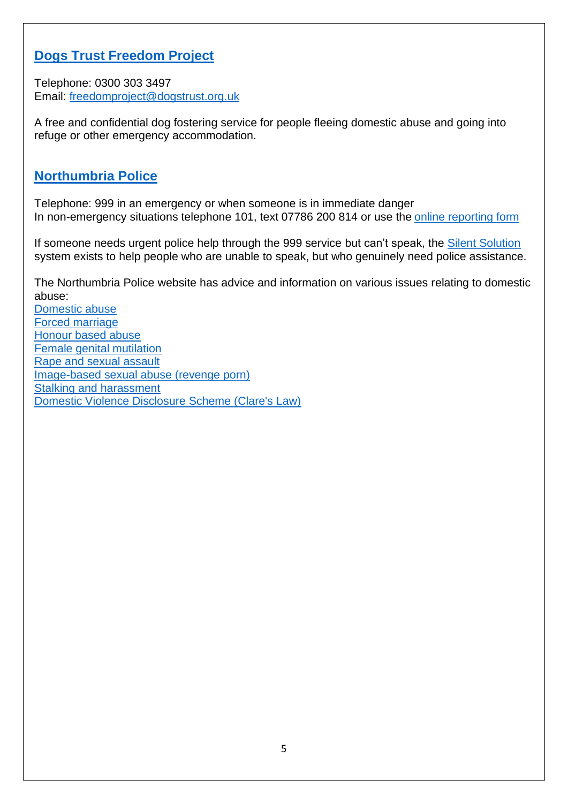#### **[Dogs Trust Freedom Project](https://www.dogstrust.org.uk/help-advice/hope-project-freedom-project/freedom-project)**

Telephone: 0300 303 3497 Email: [freedomproject@dogstrust.org.uk](mailto:freedomproject@dogstrust.org.uk)

A free and confidential dog fostering service for people fleeing domestic abuse and going into refuge or other emergency accommodation.

#### **[Northumbria Police](https://beta.northumbria.police.uk/)**

Telephone: 999 in an emergency or when someone is in immediate danger In non-emergency situations telephone 101, text 07786 200 814 or use the [online reporting form](https://services.northumbria.police.uk/online-services-start/report-an-incident)

If someone needs urgent police help through the 999 service but can't speak, the **Silent Solution** system exists to help people who are unable to speak, but who genuinely need police assistance.

The Northumbria Police website has advice and information on various issues relating to domestic abuse:

[Domestic abuse](https://beta.northumbria.police.uk/advice-and-info/violent-crime/domestic-violence-abuse/) [Forced marriage](https://beta.northumbria.police.uk/advice-and-info/personal-safety/forced-marriage/) [Honour based abuse](https://beta.northumbria.police.uk/advice-and-info/personal-safety/honour-based-abuse/) [Female genital mutilation](https://beta.northumbria.police.uk/advice-and-info/personal-safety/female-genital-mutilation/) [Rape and sexual assault](https://beta.northumbria.police.uk/advice-and-info/violent-crime/rape-and-sexual-assault/) [Image-based sexual abuse \(revenge porn\)](https://beta.northumbria.police.uk/advice-and-info/personal-safety/revenge-porn/) [Stalking and harassment](https://beta.northumbria.police.uk/advice-and-info/personal-safety/harassment-stalking/) [Domestic Violence Disclosure Scheme \(Clare's Law\)](https://beta.northumbria.police.uk/advice-and-info/personal-safety/clare-s-law-domestic-violence-disclosure-scheme/)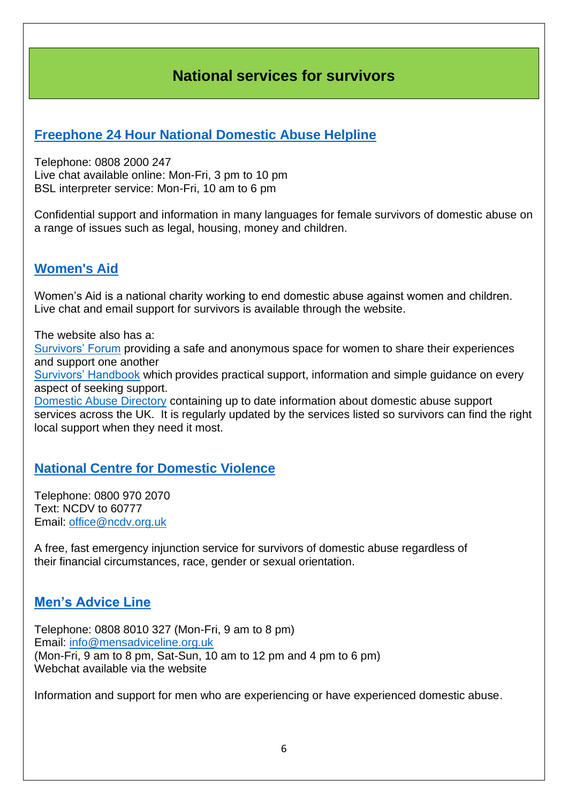### **National services for survivors**

#### <span id="page-5-0"></span>**[Freephone 24 Hour National Domestic Abuse Helpline](https://www.nationaldahelpline.org.uk/)**

Telephone: 0808 2000 247 Live chat available online: Mon-Fri, 3 pm to 10 pm BSL interpreter service: Mon-Fri, 10 am to 6 pm

Confidential support and information in many languages for female survivors of domestic abuse on a range of issues such as legal, housing, money and children.

#### **[Women's Aid](https://www.womensaid.org.uk/)**

Women's Aid is a national charity working to end domestic abuse against women and children. Live chat and email support for survivors is available through the website.

The website also has a:

[Survivors' Forum](https://survivorsforum.womensaid.org.uk/) providing a safe and anonymous space for women to share their experiences and support one another

[Survivors' Handbook](https://www.womensaid.org.uk/the-survivors-handbook/) which provides practical support, information and simple guidance on every aspect of seeking support.

[Domestic Abuse Directory](https://www.womensaid.org.uk/domestic-abuse-directory/) containing up to date information about domestic abuse support services across the UK. It is regularly updated by the services listed so survivors can find the right local support when they need it most.

#### **National Centre [for Domestic Violence](https://www.ncdv.org.uk/)**

Telephone: 0800 970 2070 Text: NCDV to 60777 Email: [office@ncdv.org.uk](mailto:office@ncdv.org.uk)

A free, fast emergency injunction service for survivors of domestic abuse regardless of their financial circumstances, race, gender or sexual orientation.

#### **[Men's Advice Line](https://mensadviceline.org.uk/)**

Telephone: 0808 8010 327 (Mon-Fri, 9 am to 8 pm) Email: [info@mensadviceline.org.uk](mailto:info@mensadviceline.org.uk) (Mon-Fri, 9 am to 8 pm, Sat-Sun, 10 am to 12 pm and 4 pm to 6 pm) Webchat available via the website

Information and support for men who are experiencing or have experienced domestic abuse.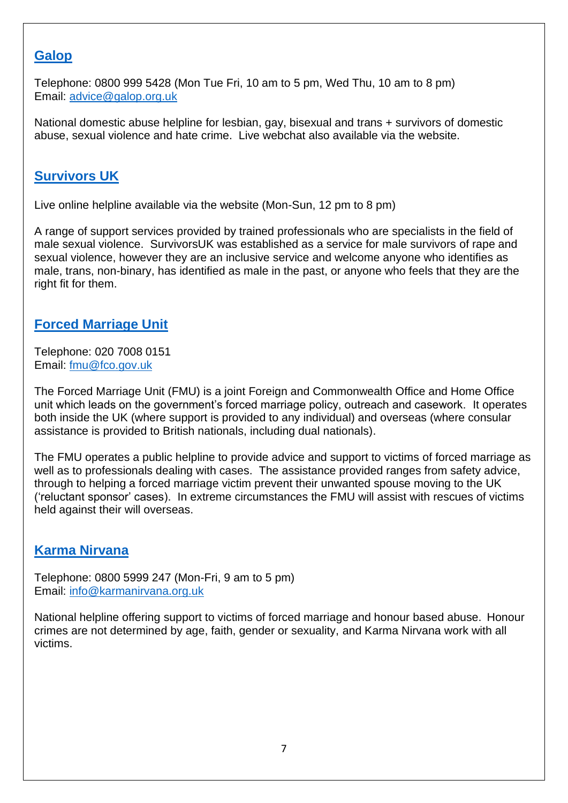#### **[Galop](http://www.galop.org.uk/)**

Telephone: 0800 999 5428 (Mon Tue Fri, 10 am to 5 pm, Wed Thu, 10 am to 8 pm) Email: [advice@galop.org.uk](mailto:advice@galop.org.uk)

National domestic abuse helpline for lesbian, gay, bisexual and trans + survivors of domestic abuse, sexual violence and hate crime. Live webchat also available via the website.

#### **[Survivors UK](https://www.survivorsuk.org/)**

Live online helpline available via the website (Mon-Sun, 12 pm to 8 pm)

A range of support services provided by trained professionals who are specialists in the field of male sexual violence. SurvivorsUK was established as a service for male survivors of rape and sexual violence, however they are an inclusive service and welcome anyone who identifies as male, trans, non-binary, has identified as male in the past, or anyone who feels that they are the right fit for them.

#### **[Forced Marriage Unit](https://www.gov.uk/guidance/forced-marriage)**

Telephone: 020 7008 0151 Email: [fmu@fco.gov.uk](mailto:fmu@fco.gov.uk)

The Forced Marriage Unit (FMU) is a joint Foreign and Commonwealth Office and Home Office unit which leads on the government's forced marriage policy, outreach and casework. It operates both inside the UK (where support is provided to any individual) and overseas (where consular assistance is provided to British nationals, including dual nationals).

The FMU operates a public helpline to provide advice and support to victims of forced marriage as well as to professionals dealing with cases. The assistance provided ranges from safety advice, through to helping a forced marriage victim prevent their unwanted spouse moving to the UK ('reluctant sponsor' cases). In extreme circumstances the FMU will assist with rescues of victims held against their will overseas.

#### **[Karma Nirvana](https://karmanirvana.org.uk/)**

Telephone: 0800 5999 247 (Mon-Fri, 9 am to 5 pm) Email: [info@karmanirvana.org.uk](mailto:info@karmanirvana.org.uk) 

National helpline offering support to victims of forced marriage and honour based abuse. Honour crimes are not determined by age, faith, gender or sexuality, and Karma Nirvana work with all victims.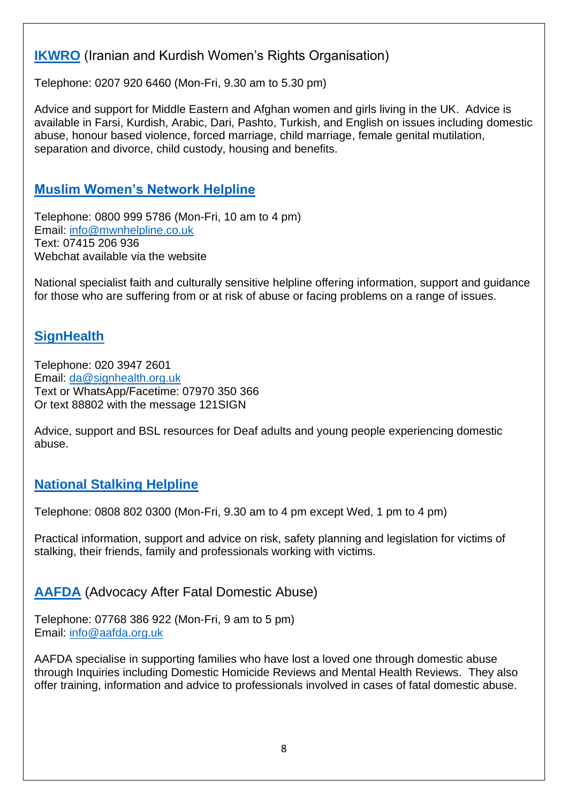#### **[IKWRO](http://ikwro.org.uk/)** (Iranian and Kurdish Women's Rights Organisation)

Telephone: 0207 920 6460 (Mon-Fri, 9.30 am to 5.30 pm)

Advice and support for Middle Eastern and Afghan women and girls living in the UK. Advice is available in Farsi, Kurdish, Arabic, Dari, Pashto, Turkish, and English on issues including domestic abuse, honour based violence, forced marriage, child marriage, female genital mutilation, separation and divorce, child custody, housing and benefits.

#### **[Muslim Women's Network Helpline](https://www.mwnhelpline.co.uk/index.php)**

Telephone: 0800 999 5786 (Mon-Fri, 10 am to 4 pm) Email: [info@mwnhelpline.co.uk](mailto:info@mwnhelpline.co.uk) Text: 07415 206 936 Webchat available via the website

National specialist faith and culturally sensitive helpline offering information, support and guidance for those who are suffering from or at risk of abuse or facing problems on a range of issues.

#### **[SignHealth](https://signhealth.org.uk/)**

Telephone: 020 3947 2601 Email: [da@signhealth.org.uk](mailto:deafhope@signhealth.org.uk) Text or WhatsApp/Facetime: 07970 350 366 Or text 88802 with the message 121SIGN

Advice, support and BSL resources for Deaf adults and young people experiencing domestic abuse.

### **[National Stalking Helpline](https://www.suzylamplugh.org/Pages/Category/national-stalking-helpline)**

Telephone: 0808 802 0300 (Mon-Fri, 9.30 am to 4 pm except Wed, 1 pm to 4 pm)

Practical information, support and advice on risk, safety planning and legislation for victims of stalking, their friends, family and professionals working with victims.

#### **[AAFDA](https://aafda.org.uk/)** (Advocacy After Fatal Domestic Abuse)

Telephone: 07768 386 922 (Mon-Fri, 9 am to 5 pm) Email: [info@aafda.org.uk](mailto:info@aafda.org.uk)

AAFDA specialise in supporting families who have lost a loved one through domestic abuse through Inquiries including Domestic Homicide Reviews and Mental Health Reviews. They also offer training, information and advice to professionals involved in cases of fatal domestic abuse.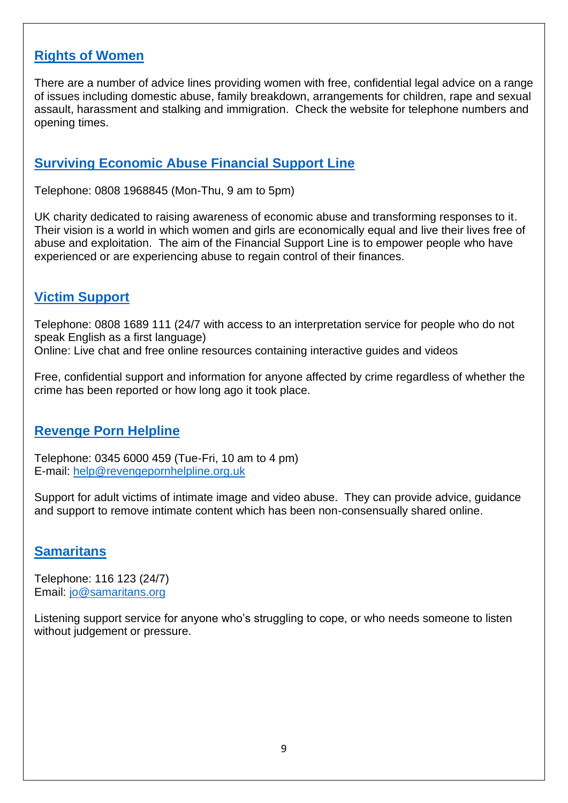#### **[Rights of Women](https://rightsofwomen.org.uk/)**

There are a number of advice lines providing women with free, confidential legal advice on a range of issues including domestic abuse, family breakdown, arrangements for children, rape and sexual assault, harassment and stalking and immigration. Check the website for telephone numbers and opening times.

#### **[Surviving Economic Abuse Financial Support Line](https://survivingeconomicabuse.org/)**

Telephone: 0808 1968845 (Mon-Thu, 9 am to 5pm)

UK charity dedicated to raising awareness of economic abuse and transforming responses to it. Their vision is a world in which women and girls are economically equal and live their lives free of abuse and exploitation. The aim of the Financial Support Line is to empower people who have experienced or are experiencing abuse to regain control of their finances.

#### **[Victim Support](https://www.victimsupport.org.uk/help-and-support/get-help)**

Telephone: 0808 1689 111 (24/7 with access to an interpretation service for people who do not speak English as a first language) Online: Live chat and free online resources containing interactive guides and videos

Free, confidential support and information for anyone affected by crime regardless of whether the crime has been reported or how long ago it took place.

#### **[Revenge Porn Helpline](https://revengepornhelpline.org.uk/)**

Telephone: 0345 6000 459 (Tue-Fri, 10 am to 4 pm) E-mail: [help@revengepornhelpline.org.uk](mailto:help@revengepornhelpline.org.uk)

Support for adult victims of intimate image and video abuse. They can provide advice, guidance and support to remove intimate content which has been non-consensually shared online.

#### **[Samaritans](https://www.samaritans.org/)**

Telephone: 116 123 (24/7) Email: [jo@samaritans.org](mailto:jo@samaritans.orgk)

Listening support service for anyone who's struggling to cope, or who needs someone to listen without judgement or pressure.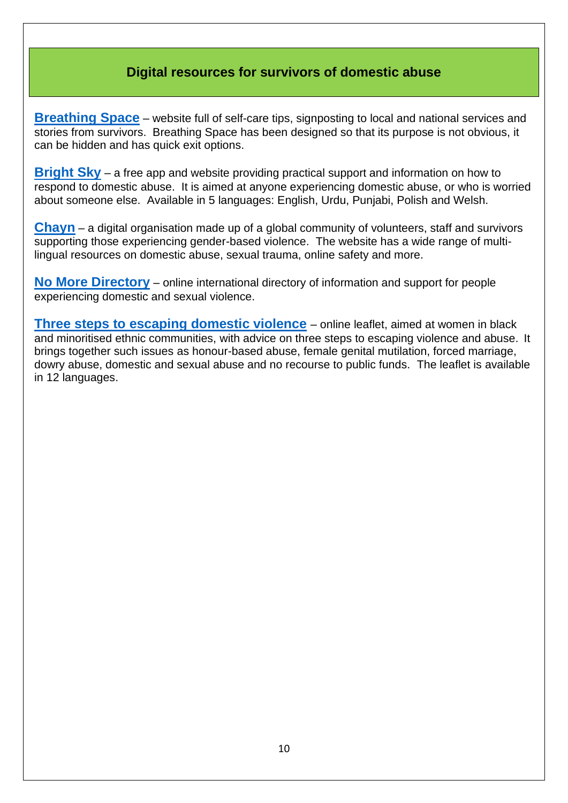#### **Digital resources for survivors of domestic abuse**

<span id="page-9-0"></span>**[Breathing Space](https://www.breathingspace-ava.org.uk/)** – website full of self-care tips, signposting to local and national services and stories from survivors. Breathing Space has been designed so that its purpose is not obvious, it can be hidden and has quick exit options.

**[Bright Sky](https://www.bright-sky.org.uk/about-us/)** – a free app and website providing practical support and information on how to respond to domestic abuse. It is aimed at anyone experiencing domestic abuse, or who is worried about someone else. Available in 5 languages: English, Urdu, Punjabi, Polish and Welsh.

**[Chayn](https://www.chayn.co/)** – a digital organisation made up of a global community of volunteers, staff and survivors supporting those experiencing gender-based violence. The website has a wide range of multilingual resources on domestic abuse, sexual trauma, online safety and more.

**[No More Directory](https://nomoredirectory.org/)** – online international directory of information and support for people experiencing domestic and sexual violence.

**[Three steps to escaping domestic violence](https://www.gov.uk/government/publications/three-steps-to-escaping-domestic-violence)** – online leaflet, aimed at women in black and minoritised ethnic communities, with advice on three steps to escaping violence and abuse. It brings together such issues as honour-based abuse, female genital mutilation, forced marriage, dowry abuse, domestic and sexual abuse and no recourse to public funds. The leaflet is available in 12 languages.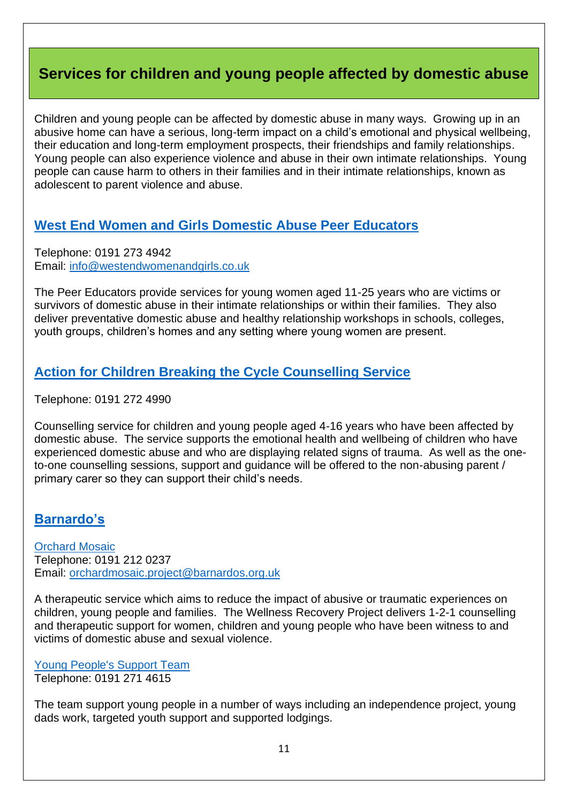## <span id="page-10-0"></span>**Services for children and young people affected by domestic abuse**

Children and young people can be affected by domestic abuse in many ways. Growing up in an abusive home can have a serious, long-term impact on a child's emotional and physical wellbeing, their education and long-term employment prospects, their friendships and family relationships. Young people can also experience violence and abuse in their own intimate relationships. Young people can cause harm to others in their families and in their intimate relationships, known as adolescent to parent violence and abuse.

#### **[West End Women and Girls Domestic Abuse Peer Educators](http://westendwomenandgirls.co.uk/domestic-abuse-services)**

Telephone: 0191 273 4942 Email: [info@westendwomenandgirls.co.uk](mailto:info@westendwomenandgirls.co.uk)

The Peer Educators provide services for young women aged 11-25 years who are victims or survivors of domestic abuse in their intimate relationships or within their families. They also deliver preventative domestic abuse and healthy relationship workshops in schools, colleges, youth groups, children's homes and any setting where young women are present.

#### **[Action for Children Breaking the Cycle Counselling Service](https://www.actionforchildren.org.uk/in-your-area/services/early-years-and-family-support/family-support/newcastle-dv-counselling-service/)**

Telephone: 0191 272 4990

Counselling service for children and young people aged 4-16 years who have been affected by domestic abuse. The service supports the emotional health and wellbeing of children who have experienced domestic abuse and who are displaying related signs of trauma. As well as the oneto-one counselling sessions, support and guidance will be offered to the non-abusing parent / primary carer so they can support their child's needs.

#### **[Barnardo's](https://www.barnardos.org.uk/)**

**[Orchard Mosaic](https://www.barnardos.org.uk/what-we-do/services/orchard-mosaic-trauma-informed-therapeutic-services)** Telephone: 0191 212 0237 Email: [orchardmosaic.project@barnardos.org.uk](mailto:orchardmosaic.project@barnardos.org.uk)

A therapeutic service which aims to reduce the impact of abusive or traumatic experiences on children, young people and families. The Wellness Recovery Project delivers 1-2-1 counselling and therapeutic support for women, children and young people who have been witness to and victims of domestic abuse and sexual violence.

[Young People's Support Team](https://www.barnardos.org.uk/what-we-do/services?lat=54.978252&lng=-1.61778&q=Newcastle%20upon%20Tyne%2C%20UK&ct=service&page=1) Telephone: 0191 271 4615

The team support young people in a number of ways including an independence project, young dads work, targeted youth support and supported lodgings.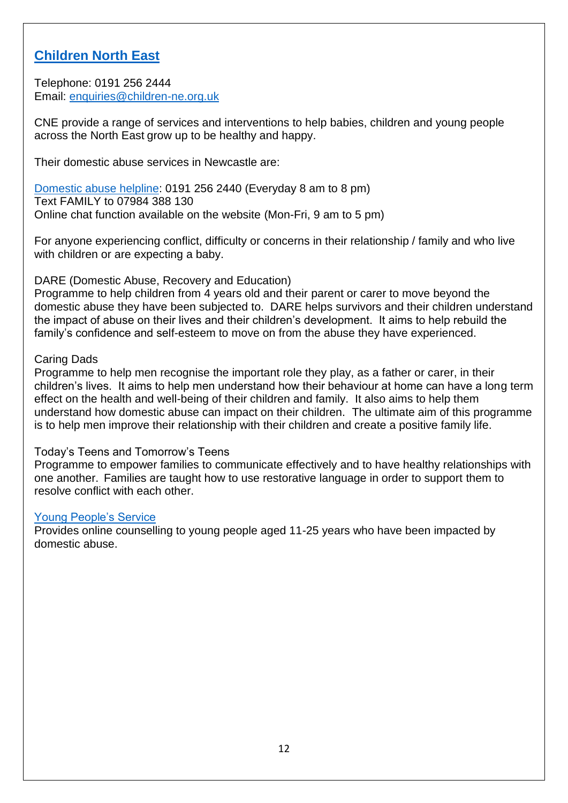#### **[Children North East](https://www.children-ne.org.uk/)**

Telephone: 0191 256 2444 Email: [enquiries@children-ne.org.uk](mailto:enquiries@children-ne.org.uk)

CNE provide a range of services and interventions to help babies, children and young people across the North East grow up to be healthy and happy.

Their domestic abuse services in Newcastle are:

[Domestic abuse helpline:](https://www.children-ne.org.uk/domestic-abuse-helpline) 0191 256 2440 (Everyday 8 am to 8 pm) Text FAMILY to 07984 388 130 Online chat function available on the website (Mon-Fri, 9 am to 5 pm)

For anyone experiencing conflict, difficulty or concerns in their relationship / family and who live with children or are expecting a baby.

DARE (Domestic Abuse, Recovery and Education)

Programme to help children from 4 years old and their parent or carer to move beyond the domestic abuse they have been subjected to. DARE helps survivors and their children understand the impact of abuse on their lives and their children's development. It aims to help rebuild the family's confidence and self-esteem to move on from the abuse they have experienced.

#### Caring Dads

Programme to help men recognise the important role they play, as a father or carer, in their children's lives. It aims to help men understand how their behaviour at home can have a long term effect on the health and well-being of their children and family. It also aims to help them understand how domestic abuse can impact on their children. The ultimate aim of this programme is to help men improve their relationship with their children and create a positive family life.

#### Today's Teens and Tomorrow's Teens

Programme to empower families to communicate effectively and to have healthy relationships with one another. Families are taught how to use restorative language in order to support them to resolve conflict with each other.

#### [Young People's Service](https://children-ne.org.uk/how-we-can-help/young-people/)

Provides online counselling to young people aged 11-25 years who have been impacted by domestic abuse.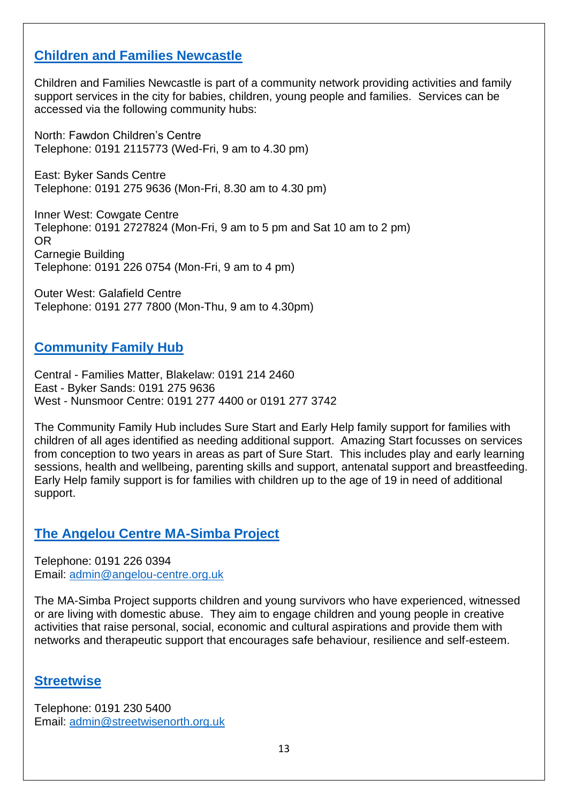#### **[Children and Families Newcastle](https://www.newcastle.gov.uk/services/care-and-support/children/getting-help-children-and-families/children-families-newcastle-0)**

Children and Families Newcastle is part of a community network providing activities and family support services in the city for babies, children, young people and families. Services can be accessed via the following community hubs:

North: Fawdon Children's Centre Telephone: 0191 2115773 (Wed-Fri, 9 am to 4.30 pm)

East: Byker Sands Centre Telephone: 0191 275 9636 (Mon-Fri, 8.30 am to 4.30 pm)

Inner West: Cowgate Centre Telephone: 0191 2727824 (Mon-Fri, 9 am to 5 pm and Sat 10 am to 2 pm) OR Carnegie Building Telephone: 0191 226 0754 (Mon-Fri, 9 am to 4 pm)

Outer West: Galafield Centre Telephone: 0191 277 7800 (Mon-Thu, 9 am to 4.30pm)

#### **[Community Family Hub](https://www.newcastle.gov.uk/services/care-and-support/children/getting-help-children-and-families/community-family-hub)**

Central - Families Matter, Blakelaw: 0191 214 2460 East - Byker Sands: 0191 275 9636 West - Nunsmoor Centre: 0191 277 4400 or 0191 277 3742

The Community Family Hub includes Sure Start and Early Help family support for families with children of all ages identified as needing additional support. Amazing Start focusses on services from conception to two years in areas as part of Sure Start. This includes play and early learning sessions, health and wellbeing, parenting skills and support, antenatal support and breastfeeding. Early Help family support is for families with children up to the age of 19 in need of additional support.

#### **[The Angelou Centre MA-Simba Project](http://angelou-centre.org.uk/)**

Telephone: 0191 226 0394 Email: [admin@angelou-centre.org.uk](mailto:admin@angelou-centre.org.uk)

The MA-Simba Project supports children and young survivors who have experienced, witnessed or are living with domestic abuse. They aim to engage children and young people in creative activities that raise personal, social, economic and cultural aspirations and provide them with networks and therapeutic support that encourages safe behaviour, resilience and self-esteem.

#### **[Streetwise](https://www.streetwisenorth.org.uk/)**

Telephone: 0191 230 5400 Email: [admin@streetwisenorth.org.uk](mailto:admin@streetwisenorth.org.uk)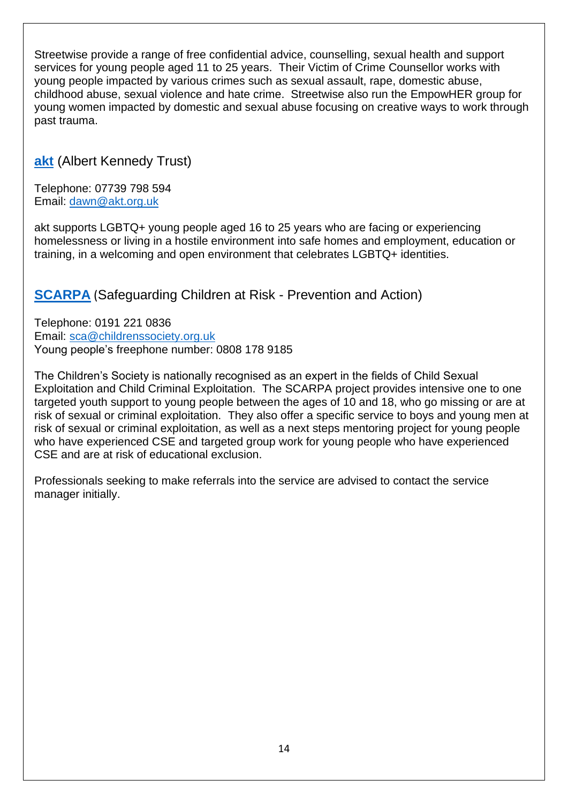Streetwise provide a range of free confidential advice, counselling, sexual health and support services for young people aged 11 to 25 years. Their Victim of Crime Counsellor works with young people impacted by various crimes such as sexual assault, rape, domestic abuse, childhood abuse, sexual violence and hate crime. Streetwise also run the EmpowHER group for young women impacted by domestic and sexual abuse focusing on creative ways to work through past trauma.

**[akt](https://www.akt.org.uk/)** (Albert Kennedy Trust)

Telephone: 07739 798 594 Email: [dawn@akt.org.uk](mailto:dawn@akt.org.uk)

akt supports LGBTQ+ young people aged 16 to 25 years who are facing or experiencing homelessness or living in a hostile environment into safe homes and employment, education or training, in a welcoming and open environment that celebrates LGBTQ+ identities.

### **[SCARPA](https://www.childrenssociety.org.uk/what-we-do/our-work)** (Safeguarding Children at Risk - Prevention and Action)

Telephone: 0191 221 0836 Email: [sca@childrenssociety.org.uk](mailto:sca@childrenssociety.org.uk) Young people's freephone number: 0808 178 9185

The Children's Society is nationally recognised as an expert in the fields of Child Sexual Exploitation and Child Criminal Exploitation. The SCARPA project provides intensive one to one targeted youth support to young people between the ages of 10 and 18, who go missing or are at risk of sexual or criminal exploitation. They also offer a specific service to boys and young men at risk of sexual or criminal exploitation, as well as a next steps mentoring project for young people who have experienced CSE and targeted group work for young people who have experienced CSE and are at risk of educational exclusion.

Professionals seeking to make referrals into the service are advised to contact the service manager initially.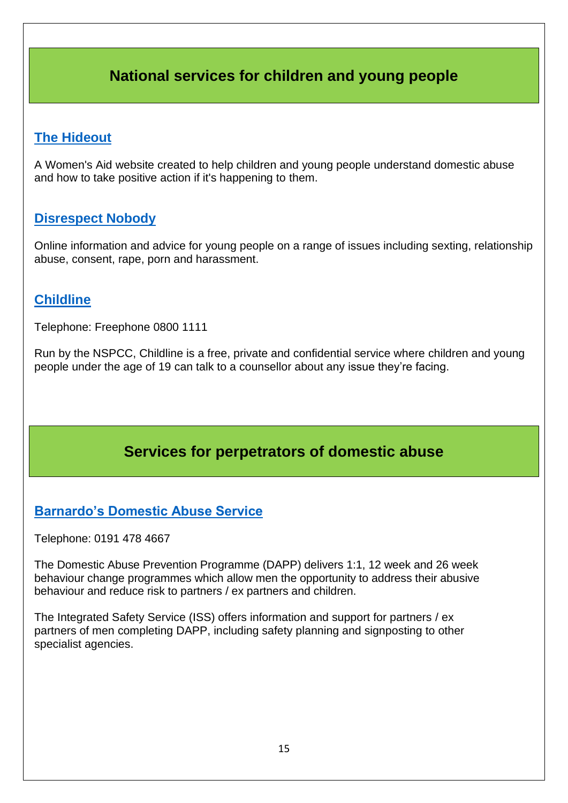## **National services for children and young people**

#### <span id="page-14-0"></span>**[The Hideout](https://thehideout.org.uk/)**

A Women's Aid website created to help children and young people understand domestic abuse and how to take positive action if it's happening to them.

#### **[Disrespect Nobody](https://www.disrespectnobody.co.uk/)**

Online information and advice for young people on a range of issues including sexting, relationship abuse, consent, rape, porn and harassment.

#### **[Childline](https://www.childline.org.uk/)**

Telephone: Freephone 0800 1111

Run by the NSPCC, Childline is a free, private and confidential service where children and young people under the age of 19 can talk to a counsellor about any issue they're facing.

## **Services for perpetrators of domestic abuse**

#### <span id="page-14-1"></span>**[Barnardo's Domestic Abuse Service](https://www.barnardos.org.uk/what-we-do/services/domestic-abuse-services)**

Telephone: 0191 478 4667

The Domestic Abuse Prevention Programme (DAPP) delivers 1:1, 12 week and 26 week behaviour change programmes which allow men the opportunity to address their abusive behaviour and reduce risk to partners / ex partners and children.

The Integrated Safety Service (ISS) offers information and support for partners / ex partners of men completing DAPP, including safety planning and signposting to other specialist agencies.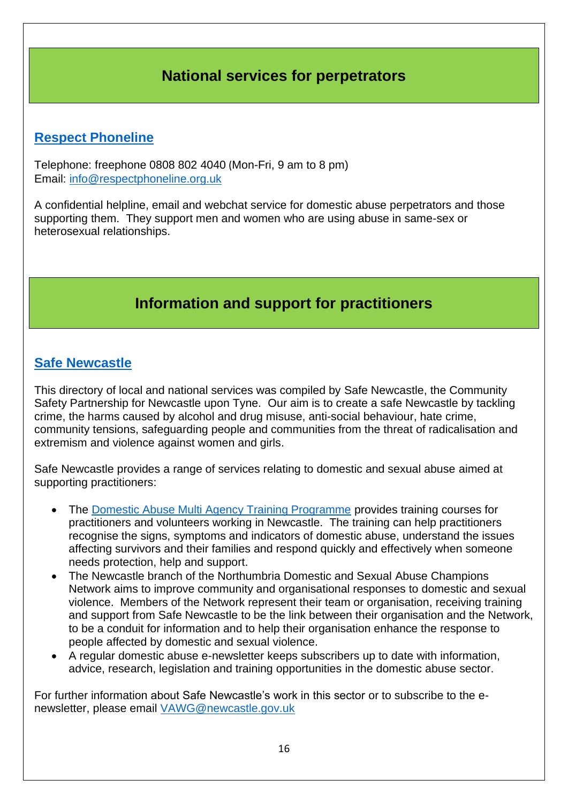## **National services for perpetrators**

### <span id="page-15-0"></span>**[Respect Phoneline](https://respectphoneline.org.uk/)**

Telephone: freephone 0808 802 4040 (Mon-Fri, 9 am to 8 pm) Email: [info@respectphoneline.org.uk](mailto:info@respectphoneline.org.uk)

A confidential helpline, email and webchat service for domestic abuse perpetrators and those supporting them. They support men and women who are using abuse in same-sex or heterosexual relationships.

## **Information and support for practitioners**

#### <span id="page-15-1"></span>**[Safe Newcastle](http://www.safenewcastle.org.uk/)**

This directory of local and national services was compiled by Safe Newcastle, the Community Safety Partnership for Newcastle upon Tyne. Our aim is to create a safe Newcastle by tackling crime, the harms caused by alcohol and drug misuse, anti-social behaviour, hate crime, community tensions, safeguarding people and communities from the threat of radicalisation and extremism and violence against women and girls.

Safe Newcastle provides a range of services relating to domestic and sexual abuse aimed at supporting practitioners:

- The [Domestic Abuse Multi Agency Training Programme](http://www.safenewcastle.org.uk/domestic-violence-and-abuse-training) provides training courses for practitioners and volunteers working in Newcastle. The training can help practitioners recognise the signs, symptoms and indicators of domestic abuse, understand the issues affecting survivors and their families and respond quickly and effectively when someone needs protection, help and support.
- The Newcastle branch of the Northumbria Domestic and Sexual Abuse Champions Network aims to improve community and organisational responses to domestic and sexual violence. Members of the Network represent their team or organisation, receiving training and support from Safe Newcastle to be the link between their organisation and the Network, to be a conduit for information and to help their organisation enhance the response to people affected by domestic and sexual violence.
- A regular domestic abuse e-newsletter keeps subscribers up to date with information, advice, research, legislation and training opportunities in the domestic abuse sector.

For further information about Safe Newcastle's work in this sector or to subscribe to the enewsletter, please email [VAWG@newcastle.gov.uk](mailto:VAWG@newcastle.gov.uk)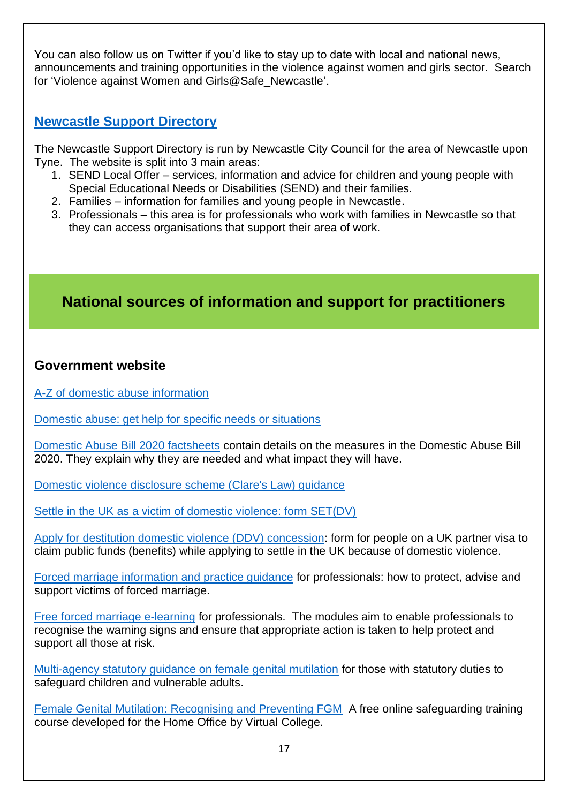You can also follow us on Twitter if you'd like to stay up to date with local and national news, announcements and training opportunities in the violence against women and girls sector. Search for 'Violence against Women and Girls@Safe\_Newcastle'.

#### **[Newcastle Support Directory](https://www.newcastlesupportdirectory.org.uk/kb5/newcastle/fsd/home.page)**

The Newcastle Support Directory is run by Newcastle City Council for the area of Newcastle upon Tyne. The website is split into 3 main areas:

- 1. SEND Local Offer services, information and advice for children and young people with Special Educational Needs or Disabilities (SEND) and their families.
- 2. Families information for families and young people in Newcastle.
- 3. Professionals this area is for professionals who work with families in Newcastle so that they can access organisations that support their area of work.

## <span id="page-16-0"></span>**National sources of information and support for practitioners**

#### **Government website**

[A-Z of domestic abuse information](https://www.gov.uk/topic/law-justice-system/domestic-violence)

[Domestic abuse: get help for](https://www.gov.uk/government/publications/domestic-abuse-get-help-for-specific-needs-or-situations) specific needs or situations

[Domestic Abuse Bill 2020 factsheets](https://www.gov.uk/government/publications/domestic-abuse-bill-2020-factsheets) contain details on the measures in the Domestic Abuse Bill 2020. They explain why they are needed and what impact they will have.

[Domestic violence disclosure scheme \(Clare's Law\) guidance](https://www.gov.uk/government/publications/domestic-violence-disclosure-scheme-pilot-guidance) 

[Settle in the UK as a victim of domestic violence: form SET\(DV\)](https://www.gov.uk/government/publications/application-to-settle-in-uk-form-setdv)

[Apply for destitution domestic violence \(DDV\) concession:](https://www.gov.uk/government/publications/application-for-benefits-for-visa-holder-domestic-violence) form for people on a UK partner visa to claim public funds (benefits) while applying to settle in the UK because of domestic violence.

[Forced marriage information and practice guidance](https://www.gov.uk/guidance/forced-marriage) for professionals: how to protect, advise and support victims of forced marriage.

[Free forced marriage e-learning](https://www.virtual-college.co.uk/resources/free-courses/awareness-of-forced-marriage) for professionals. The modules aim to enable professionals to recognise the warning signs and ensure that appropriate action is taken to help protect and support all those at risk.

[Multi-agency statutory guidance on female genital mutilation](https://www.gov.uk/government/publications/multi-agency-statutory-guidance-on-female-genital-mutilation) for those with statutory duties to safeguard children and vulnerable adults.

[Female Genital Mutilation: Recognising and Preventing FGM](https://www.virtual-college.co.uk/resources/free-courses/recognising-and-preventing-fgm) A free online safeguarding training course developed for the Home Office by Virtual College.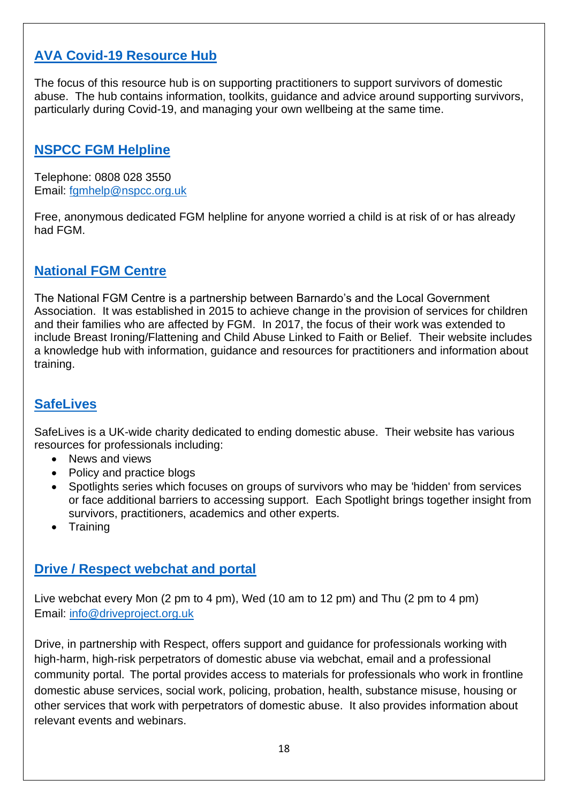### **[AVA Covid-19 Resource Hub](https://avaproject.org.uk/covid-19-resources/)**

The focus of this resource hub is on supporting practitioners to support survivors of domestic abuse. The hub contains information, toolkits, guidance and advice around supporting survivors, particularly during Covid-19, and managing your own wellbeing at the same time.

#### **[NSPCC FGM Helpline](https://www.nspcc.org.uk/what-is-child-abuse/types-of-abuse/female-genital-mutilation-fgm/)**

Telephone: 0808 028 3550 Email: [fgmhelp@nspcc.org.uk](mailto:fgmhelp@nspcc.org.uk) 

Free, anonymous dedicated FGM helpline for anyone worried a child is at risk of or has already had FGM.

#### **[National FGM Centre](http://nationalfgmcentre.org.uk/)**

The National FGM Centre is a partnership between Barnardo's and the Local Government Association. It was established in 2015 to achieve change in the provision of services for children and their families who are affected by FGM. In 2017, the focus of their work was extended to include Breast Ironing/Flattening and Child Abuse Linked to Faith or Belief. Their website includes a knowledge hub with information, guidance and resources for practitioners and information about training.

#### **[SafeLives](https://safelives.org.uk/)**

SafeLives is a UK-wide charity dedicated to ending domestic abuse. Their website has various resources for professionals including:

- News and views
- Policy and practice blogs
- Spotlights series which focuses on groups of survivors who may be 'hidden' from services or face additional barriers to accessing support. Each Spotlight brings together insight from survivors, practitioners, academics and other experts.
- Training

#### **[Drive / Respect webchat and portal](http://driveproject.org.uk/about/advice-for-professionals/)**

Live webchat every Mon (2 pm to 4 pm), Wed (10 am to 12 pm) and Thu (2 pm to 4 pm) Email: [info@driveproject.org.uk](mailto:info@driveproject.org.uk)

Drive, in partnership with Respect, offers support and guidance for professionals working with high-harm, high-risk perpetrators of domestic abuse via webchat, email and a professional community portal. The portal provides access to materials for professionals who work in frontline domestic abuse services, social work, policing, probation, health, substance misuse, housing or other services that work with perpetrators of domestic abuse. It also provides information about relevant events and webinars.